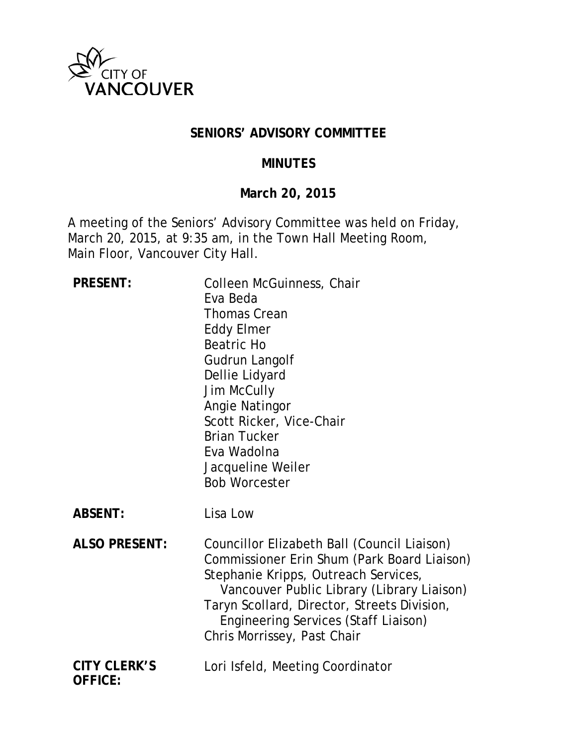

#### **SENIORS' ADVISORY COMMITTEE**

#### **MINUTES**

### **March 20, 2015**

A meeting of the Seniors' Advisory Committee was held on Friday, March 20, 2015, at 9:35 am, in the Town Hall Meeting Room, Main Floor, Vancouver City Hall.

| <b>PRESENT:</b>                       | Colleen McGuinness, Chair<br>Eva Beda<br><b>Thomas Crean</b><br><b>Eddy Elmer</b><br><b>Beatric Ho</b><br>Gudrun Langolf<br>Dellie Lidyard<br><b>Jim McCully</b><br>Angie Natingor<br>Scott Ricker, Vice-Chair<br><b>Brian Tucker</b><br>Eva Wadolna<br>Jacqueline Weiler<br><b>Bob Worcester</b>             |
|---------------------------------------|---------------------------------------------------------------------------------------------------------------------------------------------------------------------------------------------------------------------------------------------------------------------------------------------------------------|
| <b>ABSENT:</b>                        | Lisa Low                                                                                                                                                                                                                                                                                                      |
| <b>ALSO PRESENT:</b>                  | Councillor Elizabeth Ball (Council Liaison)<br>Commissioner Erin Shum (Park Board Liaison)<br>Stephanie Kripps, Outreach Services,<br>Vancouver Public Library (Library Liaison)<br>Taryn Scollard, Director, Streets Division,<br><b>Engineering Services (Staff Liaison)</b><br>Chris Morrissey, Past Chair |
| <b>CITY CLERK'S</b><br><b>OFFICE:</b> | Lori Isfeld, Meeting Coordinator                                                                                                                                                                                                                                                                              |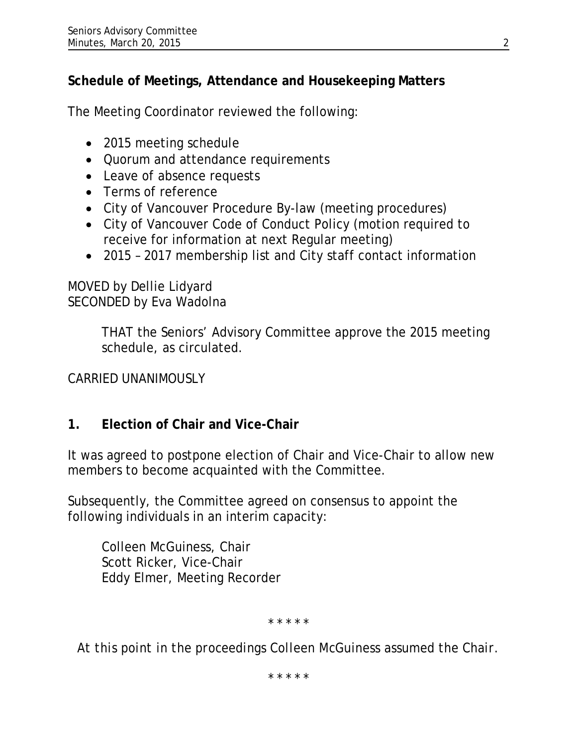# **Schedule of Meetings, Attendance and Housekeeping Matters**

The Meeting Coordinator reviewed the following:

- 2015 meeting schedule
- Quorum and attendance requirements
- Leave of absence requests
- Terms of reference
- City of Vancouver Procedure By-law (meeting procedures)
- City of Vancouver Code of Conduct Policy (motion required to receive for information at next Regular meeting)
- 2015 2017 membership list and City staff contact information

### MOVED by Dellie Lidyard SECONDED by Eva Wadolna

THAT the Seniors' Advisory Committee approve the 2015 meeting schedule, as circulated.

CARRIED UNANIMOUSLY

## **1. Election of Chair and Vice-Chair**

It was agreed to postpone election of Chair and Vice-Chair to allow new members to become acquainted with the Committee.

Subsequently, the Committee agreed on consensus to appoint the following individuals in an interim capacity:

Colleen McGuiness, Chair Scott Ricker, Vice-Chair Eddy Elmer, Meeting Recorder

*\* \* \* \* \**

*At this point in the proceedings Colleen McGuiness assumed the Chair.*

*\* \* \* \* \**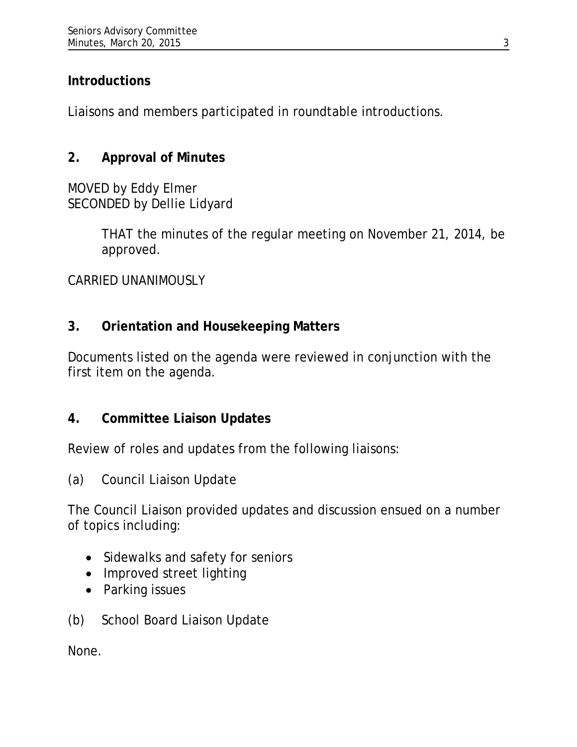## **Introductions**

Liaisons and members participated in roundtable introductions.

# **2. Approval of Minutes**

MOVED by Eddy Elmer SECONDED by Dellie Lidyard

> THAT the minutes of the regular meeting on November 21, 2014, be approved.

CARRIED UNANIMOUSLY

## **3. Orientation and Housekeeping Matters**

Documents listed on the agenda were reviewed in conjunction with the first item on the agenda.

## **4. Committee Liaison Updates**

Review of roles and updates from the following liaisons:

(a) Council Liaison Update

The Council Liaison provided updates and discussion ensued on a number of topics including:

- Sidewalks and safety for seniors
- Improved street lighting
- Parking issues
- (b) School Board Liaison Update

None.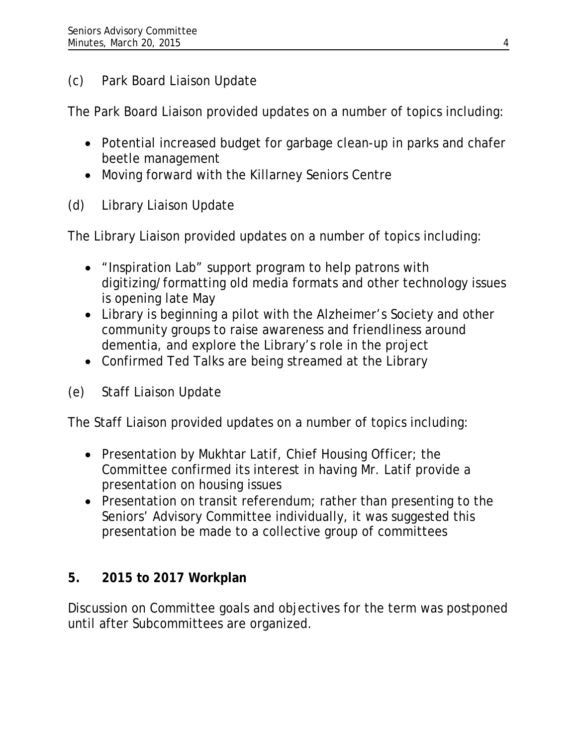# (c) Park Board Liaison Update

The Park Board Liaison provided updates on a number of topics including:

- Potential increased budget for garbage clean-up in parks and chafer beetle management
- Moving forward with the Killarney Seniors Centre
- (d) Library Liaison Update

The Library Liaison provided updates on a number of topics including:

- "Inspiration Lab" support program to help patrons with digitizing/formatting old media formats and other technology issues is opening late May
- Library is beginning a pilot with the Alzheimer's Society and other community groups to raise awareness and friendliness around dementia, and explore the Library's role in the project
- Confirmed Ted Talks are being streamed at the Library
- (e) Staff Liaison Update

The Staff Liaison provided updates on a number of topics including:

- Presentation by Mukhtar Latif, Chief Housing Officer; the Committee confirmed its interest in having Mr. Latif provide a presentation on housing issues
- Presentation on transit referendum; rather than presenting to the Seniors' Advisory Committee individually, it was suggested this presentation be made to a collective group of committees

# **5. 2015 to 2017 Workplan**

Discussion on Committee goals and objectives for the term was postponed until after Subcommittees are organized.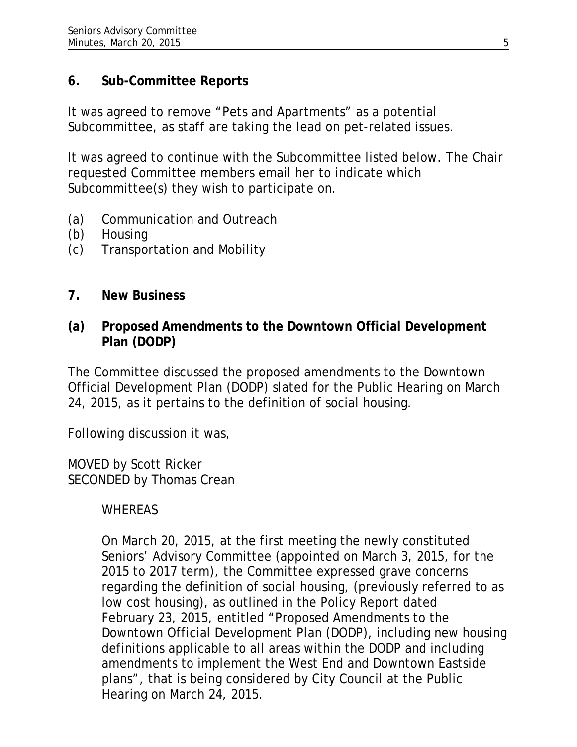### **6. Sub-Committee Reports**

It was agreed to remove "Pets and Apartments" as a potential Subcommittee, as staff are taking the lead on pet-related issues.

It was agreed to continue with the Subcommittee listed below. The Chair requested Committee members email her to indicate which Subcommittee(s) they wish to participate on.

- (a) Communication and Outreach
- (b) Housing
- (c) Transportation and Mobility

## **7. New Business**

**(a) Proposed Amendments to the Downtown Official Development Plan (DODP)**

The Committee discussed the proposed amendments to the Downtown Official Development Plan (DODP) slated for the Public Hearing on March 24, 2015, as it pertains to the definition of social housing.

Following discussion it was,

MOVED by Scott Ricker SECONDED by Thomas Crean

## WHEREAS

On March 20, 2015, at the first meeting the newly constituted Seniors' Advisory Committee (appointed on March 3, 2015, for the 2015 to 2017 term), the Committee expressed grave concerns regarding the definition of social housing, (previously referred to as low cost housing), as outlined in the Policy Report dated February 23, 2015, entitled "Proposed Amendments to the Downtown Official Development Plan (DODP), including new housing definitions applicable to all areas within the DODP and including amendments to implement the West End and Downtown Eastside plans", that is being considered by City Council at the Public Hearing on March 24, 2015.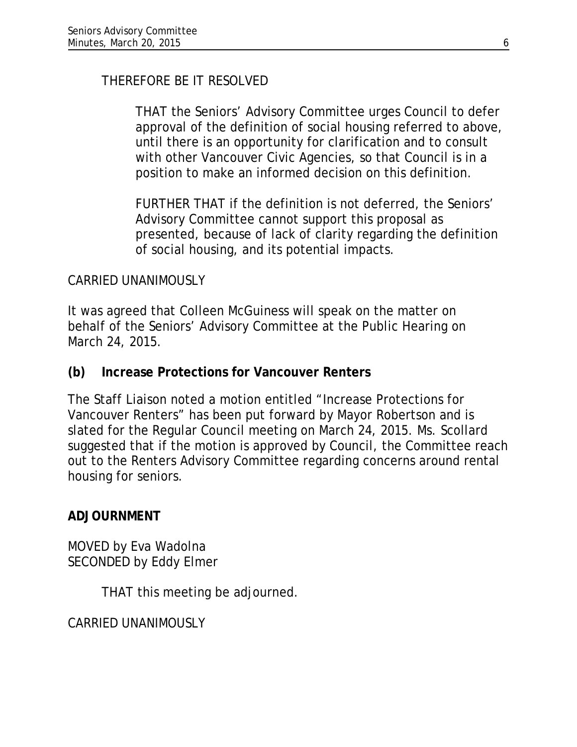THEREFORE BE IT RESOLVED

THAT the Seniors' Advisory Committee urges Council to defer approval of the definition of social housing referred to above, until there is an opportunity for clarification and to consult with other Vancouver Civic Agencies, so that Council is in a position to make an informed decision on this definition.

FURTHER THAT if the definition is not deferred, the Seniors' Advisory Committee cannot support this proposal as presented, because of lack of clarity regarding the definition of social housing, and its potential impacts.

### CARRIED UNANIMOUSLY

It was agreed that Colleen McGuiness will speak on the matter on behalf of the Seniors' Advisory Committee at the Public Hearing on March 24, 2015.

### **(b) Increase Protections for Vancouver Renters**

The Staff Liaison noted a motion entitled "Increase Protections for Vancouver Renters" has been put forward by Mayor Robertson and is slated for the Regular Council meeting on March 24, 2015. Ms. Scollard suggested that if the motion is approved by Council, the Committee reach out to the Renters Advisory Committee regarding concerns around rental housing for seniors.

#### **ADJOURNMENT**

MOVED by Eva Wadolna SECONDED by Eddy Elmer

THAT this meeting be adjourned.

CARRIED UNANIMOUSLY